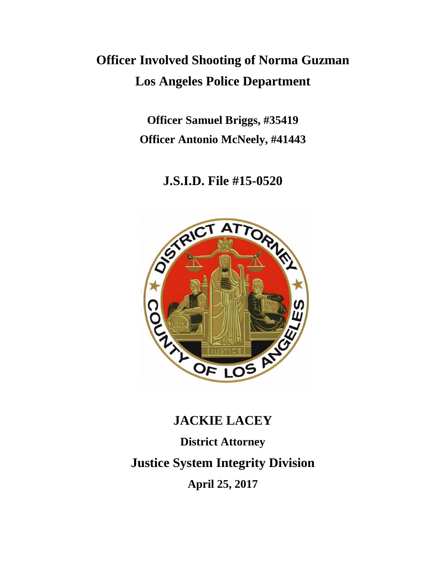# **Officer Involved Shooting of Norma Guzman Los Angeles Police Department**

**Officer Samuel Briggs, #35419 Officer Antonio McNeely, #41443**

**J.S.I.D. File #15-0520**



# **JACKIE LACEY**

**District Attorney Justice System Integrity Division April 25, 2017**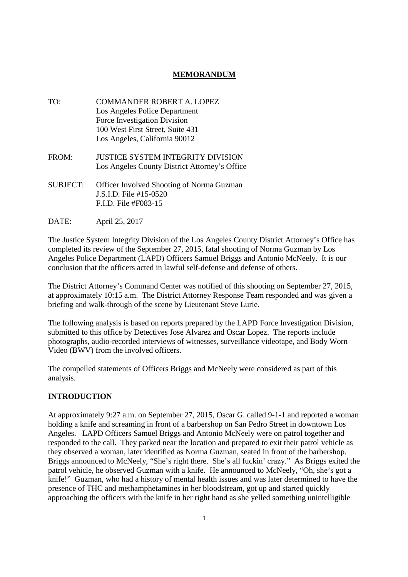# **MEMORANDUM**

- TO: COMMANDER ROBERT A. LOPEZ Los Angeles Police Department Force Investigation Division 100 West First Street, Suite 431 Los Angeles, California 90012
- FROM: JUSTICE SYSTEM INTEGRITY DIVISION Los Angeles County District Attorney's Office
- SUBJECT: Officer Involved Shooting of Norma Guzman J.S.I.D. File #15-0520 F.I.D. File #F083-15
- DATE: April 25, 2017

The Justice System Integrity Division of the Los Angeles County District Attorney's Office has completed its review of the September 27, 2015, fatal shooting of Norma Guzman by Los Angeles Police Department (LAPD) Officers Samuel Briggs and Antonio McNeely. It is our conclusion that the officers acted in lawful self-defense and defense of others.

The District Attorney's Command Center was notified of this shooting on September 27, 2015, at approximately 10:15 a.m. The District Attorney Response Team responded and was given a briefing and walk-through of the scene by Lieutenant Steve Lurie.

The following analysis is based on reports prepared by the LAPD Force Investigation Division, submitted to this office by Detectives Jose Alvarez and Oscar Lopez. The reports include photographs, audio-recorded interviews of witnesses, surveillance videotape, and Body Worn Video (BWV) from the involved officers.

The compelled statements of Officers Briggs and McNeely were considered as part of this analysis.

# **INTRODUCTION**

At approximately 9:27 a.m. on September 27, 2015, Oscar G. called 9-1-1 and reported a woman holding a knife and screaming in front of a barbershop on San Pedro Street in downtown Los Angeles. LAPD Officers Samuel Briggs and Antonio McNeely were on patrol together and responded to the call. They parked near the location and prepared to exit their patrol vehicle as they observed a woman, later identified as Norma Guzman, seated in front of the barbershop. Briggs announced to McNeely, "She's right there. She's all fuckin' crazy." As Briggs exited the patrol vehicle, he observed Guzman with a knife. He announced to McNeely, "Oh, she's got a knife!" Guzman, who had a history of mental health issues and was later determined to have the presence of THC and methamphetamines in her bloodstream, got up and started quickly approaching the officers with the knife in her right hand as she yelled something unintelligible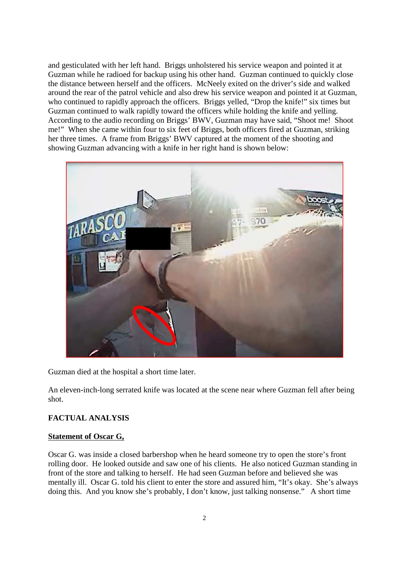and gesticulated with her left hand. Briggs unholstered his service weapon and pointed it at Guzman while he radioed for backup using his other hand. Guzman continued to quickly close the distance between herself and the officers. McNeely exited on the driver's side and walked around the rear of the patrol vehicle and also drew his service weapon and pointed it at Guzman, who continued to rapidly approach the officers. Briggs yelled, "Drop the knife!" six times but Guzman continued to walk rapidly toward the officers while holding the knife and yelling. According to the audio recording on Briggs' BWV, Guzman may have said, "Shoot me! Shoot me!" When she came within four to six feet of Briggs, both officers fired at Guzman, striking her three times. A frame from Briggs' BWV captured at the moment of the shooting and showing Guzman advancing with a knife in her right hand is shown below:



Guzman died at the hospital a short time later.

An eleven-inch-long serrated knife was located at the scene near where Guzman fell after being shot.

# **FACTUAL ANALYSIS**

#### **Statement of Oscar G,**

Oscar G. was inside a closed barbershop when he heard someone try to open the store's front rolling door. He looked outside and saw one of his clients. He also noticed Guzman standing in front of the store and talking to herself. He had seen Guzman before and believed she was mentally ill. Oscar G. told his client to enter the store and assured him, "It's okay. She's always doing this. And you know she's probably, I don't know, just talking nonsense." A short time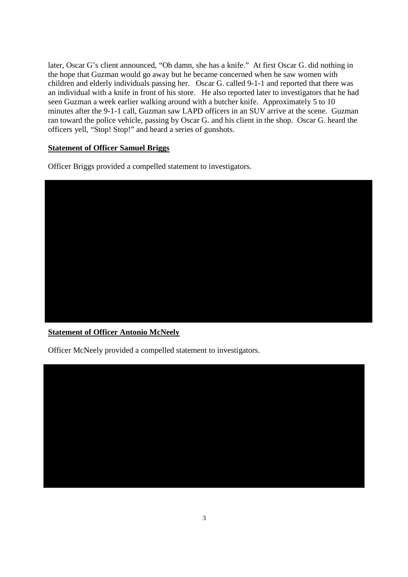later, Oscar G's client announced, "Oh damn, she has a knife." At first Oscar G. did nothing in the hope that Guzman would go away but he became concerned when he saw women with children and elderly individuals passing her. Oscar G. called 9-1-1 and reported that there was an individual with a knife in front of his store. He also reported later to investigators that he had seen Guzman a week earlier walking around with a butcher knife. Approximately 5 to 10 minutes after the 9-1-1 call, Guzman saw LAPD officers in an SUV arrive at the scene. Guzman ran toward the police vehicle, passing by Oscar G. and his client in the shop. Oscar G. heard the officers yell, "Stop! Stop!" and heard a series of gunshots.

# **Statement of Officer Samuel Briggs**

Officer Briggs provided a compelled statement to investigators.



# **Statement of Officer Antonio McNeely**

Officer McNeely provided a compelled statement to investigators.

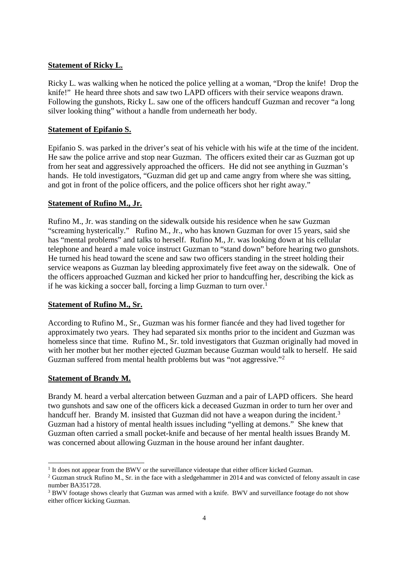# **Statement of Ricky L.**

Ricky L. was walking when he noticed the police yelling at a woman, "Drop the knife! Drop the knife!" He heard three shots and saw two LAPD officers with their service weapons drawn. Following the gunshots, Ricky L. saw one of the officers handcuff Guzman and recover "a long silver looking thing" without a handle from underneath her body.

#### **Statement of Epifanio S.**

Epifanio S. was parked in the driver's seat of his vehicle with his wife at the time of the incident. He saw the police arrive and stop near Guzman. The officers exited their car as Guzman got up from her seat and aggressively approached the officers. He did not see anything in Guzman's hands. He told investigators, "Guzman did get up and came angry from where she was sitting, and got in front of the police officers, and the police officers shot her right away."

#### **Statement of Rufino M., Jr.**

Rufino M., Jr. was standing on the sidewalk outside his residence when he saw Guzman "screaming hysterically." Rufino M., Jr., who has known Guzman for over 15 years, said she has "mental problems" and talks to herself. Rufino M., Jr. was looking down at his cellular telephone and heard a male voice instruct Guzman to "stand down" before hearing two gunshots. He turned his head toward the scene and saw two officers standing in the street holding their service weapons as Guzman lay bleeding approximately five feet away on the sidewalk. One of the officers approached Guzman and kicked her prior to handcuffing her, describing the kick as if he was kicking a soccer ball, forcing a limp Guzman to turn over.<sup>1</sup>

#### **Statement of Rufino M., Sr.**

According to Rufino M., Sr., Guzman was his former fiancée and they had lived together for approximately two years. They had separated six months prior to the incident and Guzman was homeless since that time. Rufino M., Sr. told investigators that Guzman originally had moved in with her mother but her mother ejected Guzman because Guzman would talk to herself. He said Guzman suffered from mental health problems but was "not aggressive."<sup>2</sup>

#### **Statement of Brandy M.**

Brandy M. heard a verbal altercation between Guzman and a pair of LAPD officers. She heard two gunshots and saw one of the officers kick a deceased Guzman in order to turn her over and handcuff her. Brandy M. insisted that Guzman did not have a weapon during the incident.<sup>3</sup> Guzman had a history of mental health issues including "yelling at demons." She knew that Guzman often carried a small pocket-knife and because of her mental health issues Brandy M. was concerned about allowing Guzman in the house around her infant daughter.

<sup>&</sup>lt;sup>1</sup> It does not appear from the BWV or the surveillance videotape that either officer kicked Guzman.

<sup>&</sup>lt;sup>2</sup> Guzman struck Rufino M., Sr. in the face with a sledgehammer in 2014 and was convicted of felony assault in case number BA351728.

<sup>&</sup>lt;sup>3</sup> BWV footage shows clearly that Guzman was armed with a knife. BWV and surveillance footage do not show either officer kicking Guzman.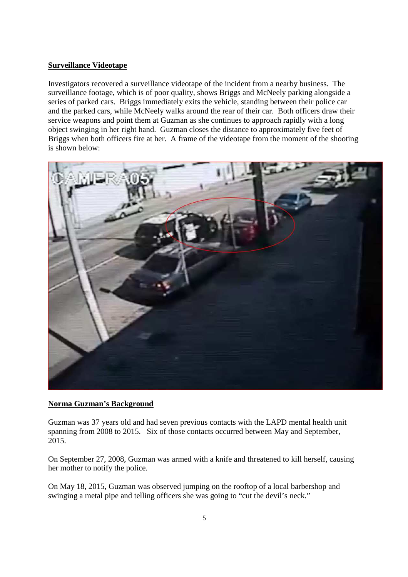# **Surveillance Videotape**

Investigators recovered a surveillance videotape of the incident from a nearby business. The surveillance footage, which is of poor quality, shows Briggs and McNeely parking alongside a series of parked cars. Briggs immediately exits the vehicle, standing between their police car and the parked cars, while McNeely walks around the rear of their car. Both officers draw their service weapons and point them at Guzman as she continues to approach rapidly with a long object swinging in her right hand. Guzman closes the distance to approximately five feet of Briggs when both officers fire at her. A frame of the videotape from the moment of the shooting is shown below:



#### **Norma Guzman's Background**

Guzman was 37 years old and had seven previous contacts with the LAPD mental health unit spanning from 2008 to 2015. Six of those contacts occurred between May and September, 2015.

On September 27, 2008, Guzman was armed with a knife and threatened to kill herself, causing her mother to notify the police.

On May 18, 2015, Guzman was observed jumping on the rooftop of a local barbershop and swinging a metal pipe and telling officers she was going to "cut the devil's neck."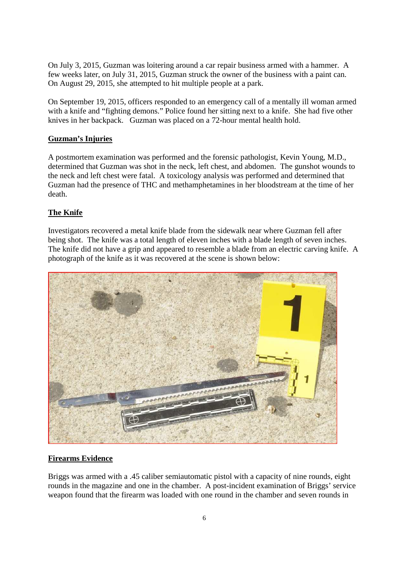On July 3, 2015, Guzman was loitering around a car repair business armed with a hammer. A few weeks later, on July 31, 2015, Guzman struck the owner of the business with a paint can. On August 29, 2015, she attempted to hit multiple people at a park.

On September 19, 2015, officers responded to an emergency call of a mentally ill woman armed with a knife and "fighting demons." Police found her sitting next to a knife. She had five other knives in her backpack. Guzman was placed on a 72-hour mental health hold.

# **Guzman's Injuries**

A postmortem examination was performed and the forensic pathologist, Kevin Young, M.D., determined that Guzman was shot in the neck, left chest, and abdomen. The gunshot wounds to the neck and left chest were fatal. A toxicology analysis was performed and determined that Guzman had the presence of THC and methamphetamines in her bloodstream at the time of her death.

# **The Knife**

Investigators recovered a metal knife blade from the sidewalk near where Guzman fell after being shot. The knife was a total length of eleven inches with a blade length of seven inches. The knife did not have a grip and appeared to resemble a blade from an electric carving knife. A photograph of the knife as it was recovered at the scene is shown below:



#### **Firearms Evidence**

Briggs was armed with a .45 caliber semiautomatic pistol with a capacity of nine rounds, eight rounds in the magazine and one in the chamber. A post-incident examination of Briggs' service weapon found that the firearm was loaded with one round in the chamber and seven rounds in